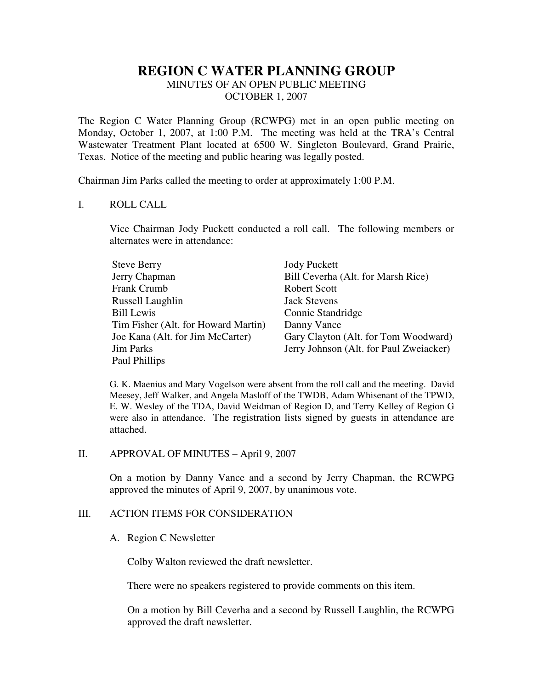# **REGION C WATER PLANNING GROUP**

MINUTES OF AN OPEN PUBLIC MEETING OCTOBER 1, 2007

The Region C Water Planning Group (RCWPG) met in an open public meeting on Monday, October 1, 2007, at 1:00 P.M. The meeting was held at the TRA's Central Wastewater Treatment Plant located at 6500 W. Singleton Boulevard, Grand Prairie, Texas. Notice of the meeting and public hearing was legally posted.

Chairman Jim Parks called the meeting to order at approximately 1:00 P.M.

### I. ROLL CALL

Vice Chairman Jody Puckett conducted a roll call. The following members or alternates were in attendance:

| <b>Steve Berry</b>                  | <b>Jody Puckett</b>                     |
|-------------------------------------|-----------------------------------------|
| Jerry Chapman                       | Bill Ceverha (Alt. for Marsh Rice)      |
| <b>Frank Crumb</b>                  | <b>Robert Scott</b>                     |
| Russell Laughlin                    | <b>Jack Stevens</b>                     |
| <b>Bill Lewis</b>                   | Connie Standridge                       |
| Tim Fisher (Alt. for Howard Martin) | Danny Vance                             |
| Joe Kana (Alt. for Jim McCarter)    | Gary Clayton (Alt. for Tom Woodward)    |
| <b>Jim Parks</b>                    | Jerry Johnson (Alt. for Paul Zweiacker) |
| Paul Phillips                       |                                         |

G. K. Maenius and Mary Vogelson were absent from the roll call and the meeting. David Meesey, Jeff Walker, and Angela Masloff of the TWDB, Adam Whisenant of the TPWD, E. W. Wesley of the TDA, David Weidman of Region D, and Terry Kelley of Region G were also in attendance. The registration lists signed by guests in attendance are attached.

#### II. APPROVAL OF MINUTES – April 9, 2007

On a motion by Danny Vance and a second by Jerry Chapman, the RCWPG approved the minutes of April 9, 2007, by unanimous vote.

## III. ACTION ITEMS FOR CONSIDERATION

#### A. Region C Newsletter

Colby Walton reviewed the draft newsletter.

There were no speakers registered to provide comments on this item.

On a motion by Bill Ceverha and a second by Russell Laughlin, the RCWPG approved the draft newsletter.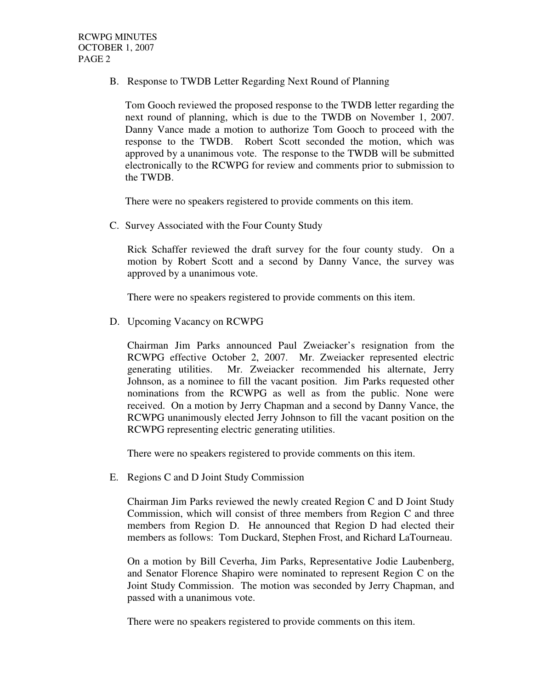B. Response to TWDB Letter Regarding Next Round of Planning

Tom Gooch reviewed the proposed response to the TWDB letter regarding the next round of planning, which is due to the TWDB on November 1, 2007. Danny Vance made a motion to authorize Tom Gooch to proceed with the response to the TWDB. Robert Scott seconded the motion, which was approved by a unanimous vote. The response to the TWDB will be submitted electronically to the RCWPG for review and comments prior to submission to the TWDB.

There were no speakers registered to provide comments on this item.

C. Survey Associated with the Four County Study

Rick Schaffer reviewed the draft survey for the four county study. On a motion by Robert Scott and a second by Danny Vance, the survey was approved by a unanimous vote.

There were no speakers registered to provide comments on this item.

D. Upcoming Vacancy on RCWPG

Chairman Jim Parks announced Paul Zweiacker's resignation from the RCWPG effective October 2, 2007. Mr. Zweiacker represented electric generating utilities. Mr. Zweiacker recommended his alternate, Jerry Johnson, as a nominee to fill the vacant position. Jim Parks requested other nominations from the RCWPG as well as from the public. None were received. On a motion by Jerry Chapman and a second by Danny Vance, the RCWPG unanimously elected Jerry Johnson to fill the vacant position on the RCWPG representing electric generating utilities.

There were no speakers registered to provide comments on this item.

E. Regions C and D Joint Study Commission

Chairman Jim Parks reviewed the newly created Region C and D Joint Study Commission, which will consist of three members from Region C and three members from Region D. He announced that Region D had elected their members as follows: Tom Duckard, Stephen Frost, and Richard LaTourneau.

On a motion by Bill Ceverha, Jim Parks, Representative Jodie Laubenberg, and Senator Florence Shapiro were nominated to represent Region C on the Joint Study Commission. The motion was seconded by Jerry Chapman, and passed with a unanimous vote.

There were no speakers registered to provide comments on this item.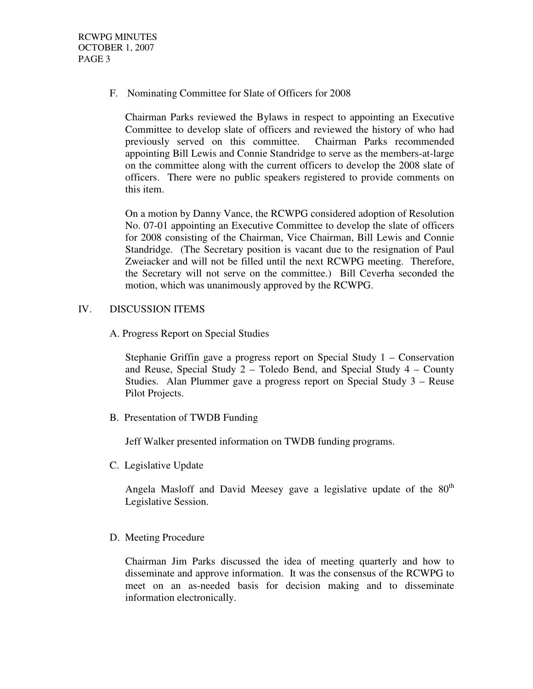F. Nominating Committee for Slate of Officers for 2008

Chairman Parks reviewed the Bylaws in respect to appointing an Executive Committee to develop slate of officers and reviewed the history of who had previously served on this committee. Chairman Parks recommended appointing Bill Lewis and Connie Standridge to serve as the members-at-large on the committee along with the current officers to develop the 2008 slate of officers. There were no public speakers registered to provide comments on this item.

On a motion by Danny Vance, the RCWPG considered adoption of Resolution No. 07-01 appointing an Executive Committee to develop the slate of officers for 2008 consisting of the Chairman, Vice Chairman, Bill Lewis and Connie Standridge. (The Secretary position is vacant due to the resignation of Paul Zweiacker and will not be filled until the next RCWPG meeting. Therefore, the Secretary will not serve on the committee.) Bill Ceverha seconded the motion, which was unanimously approved by the RCWPG.

# IV. DISCUSSION ITEMS

A. Progress Report on Special Studies

Stephanie Griffin gave a progress report on Special Study 1 – Conservation and Reuse, Special Study  $2 -$  Toledo Bend, and Special Study  $4 -$  County Studies. Alan Plummer gave a progress report on Special Study 3 – Reuse Pilot Projects.

B. Presentation of TWDB Funding

Jeff Walker presented information on TWDB funding programs.

C. Legislative Update

Angela Masloff and David Meesey gave a legislative update of the 80<sup>th</sup> Legislative Session.

D. Meeting Procedure

Chairman Jim Parks discussed the idea of meeting quarterly and how to disseminate and approve information. It was the consensus of the RCWPG to meet on an as-needed basis for decision making and to disseminate information electronically.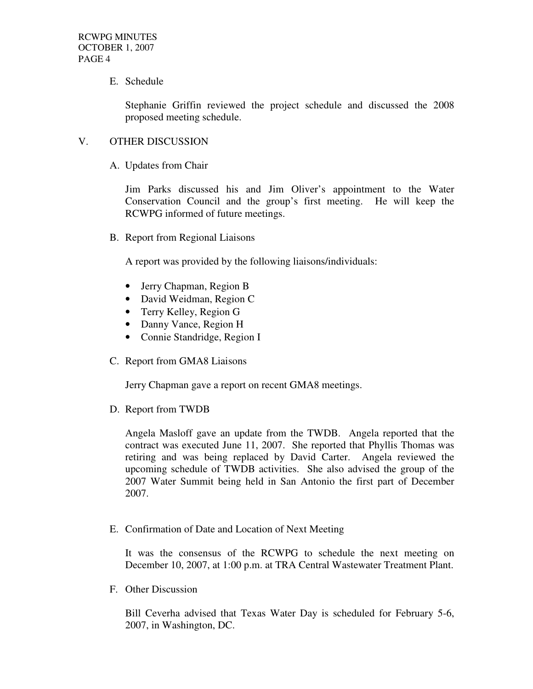E. Schedule

Stephanie Griffin reviewed the project schedule and discussed the 2008 proposed meeting schedule.

### V. OTHER DISCUSSION

A. Updates from Chair

Jim Parks discussed his and Jim Oliver's appointment to the Water Conservation Council and the group's first meeting. He will keep the RCWPG informed of future meetings.

B. Report from Regional Liaisons

A report was provided by the following liaisons/individuals:

- Jerry Chapman, Region B
- David Weidman, Region C
- Terry Kelley, Region G
- Danny Vance, Region H
- Connie Standridge, Region I
- C. Report from GMA8 Liaisons

Jerry Chapman gave a report on recent GMA8 meetings.

D. Report from TWDB

Angela Masloff gave an update from the TWDB. Angela reported that the contract was executed June 11, 2007. She reported that Phyllis Thomas was retiring and was being replaced by David Carter. Angela reviewed the upcoming schedule of TWDB activities. She also advised the group of the 2007 Water Summit being held in San Antonio the first part of December 2007.

E. Confirmation of Date and Location of Next Meeting

It was the consensus of the RCWPG to schedule the next meeting on December 10, 2007, at 1:00 p.m. at TRA Central Wastewater Treatment Plant.

F. Other Discussion

Bill Ceverha advised that Texas Water Day is scheduled for February 5-6, 2007, in Washington, DC.